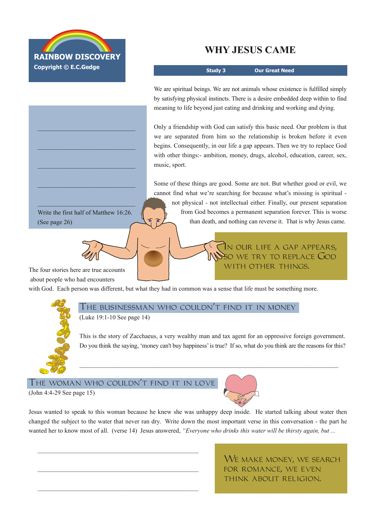

\_\_\_\_\_\_\_\_\_\_\_\_\_\_\_\_\_\_\_\_\_\_\_\_\_\_\_\_\_\_\_

\_\_\_\_\_\_\_\_\_\_\_\_\_\_\_\_\_\_\_\_\_\_\_\_\_\_\_\_\_\_\_

\_\_\_\_\_\_\_\_\_\_\_\_\_\_\_\_\_\_\_\_\_\_\_\_\_\_\_\_\_\_\_

\_\_\_\_\_\_\_\_\_\_\_\_\_\_\_\_\_\_\_\_\_\_\_\_\_\_\_\_\_\_\_

\_\_\_\_\_\_\_\_\_\_\_\_\_\_\_\_\_\_\_\_\_\_\_\_\_\_\_\_\_\_\_ Write the first half of Matthew 16:26.

## **WHY JESUS CAME**

**Study 3 Our Great Need**

We are spiritual beings. We are not animals whose existence is fulfilled simply by satisfying physical instincts. There is a desire embedded deep within to find meaning to life beyond just eating and drinking and working and dying.

Only a friendship with God can satisfy this basic need. Our problem is that we are separated from him so the relationship is broken before it even begins. Consequently, in our life a gap appears. Then we try to replace God with other things:- ambition, money, drugs, alcohol, education, career, sex, music, sport.

Some of these things are good. Some are not. But whether good or evil, we cannot find what we're searching for because what's missing is spiritual not physical not intellectual either. Finally, our present separation from God becomes a permanent separation forever. This is worse than death, and nothing can reverse it. That is why Jesus came.

> In our life a gap appears, NSO WE TRY TO REPLACE GOD WITH OTHER THINGS.

The four stories here are true accounts about people who had encounters

(See page 26)

with God. Each person was different, but what they had in common was a sense that life must be something more.

The businessman who couldn't find it in money (Luke 19:1-10 See page 14)

This is the story of Zacchaeus, a very wealthy man and tax agent for an oppressive foreign government. Do you think the saying, 'money can't buy happiness' is true? If so, what do you think are the reasons for this?

 $\mathcal{L}_\mathcal{L} = \{ \mathcal{L}_\mathcal{L} = \{ \mathcal{L}_\mathcal{L} = \{ \mathcal{L}_\mathcal{L} = \{ \mathcal{L}_\mathcal{L} = \{ \mathcal{L}_\mathcal{L} = \{ \mathcal{L}_\mathcal{L} = \{ \mathcal{L}_\mathcal{L} = \{ \mathcal{L}_\mathcal{L} = \{ \mathcal{L}_\mathcal{L} = \{ \mathcal{L}_\mathcal{L} = \{ \mathcal{L}_\mathcal{L} = \{ \mathcal{L}_\mathcal{L} = \{ \mathcal{L}_\mathcal{L} = \{ \mathcal{L}_\mathcal{$ 

## The woman who couldn't find it in love

\_\_\_\_\_\_\_\_\_\_\_\_\_\_\_\_\_\_\_\_\_\_\_\_\_\_\_\_\_\_\_\_\_\_\_\_\_\_\_\_\_\_\_\_\_\_\_\_\_\_\_

(John 4:429 See page 15)

Jesus wanted to speak to this woman because he knew she was unhappy deep inside. He started talking about water then changed the subject to the water that never ran dry. Write down the most important verse in this conversation - the part he wanted her to know most of all. (verse 14) Jesus answered, *"Everyone who drinks this water will be thirsty again, but ...*

> WE MAKE MONEY, WE SEARCH for romance, we even think about religion.